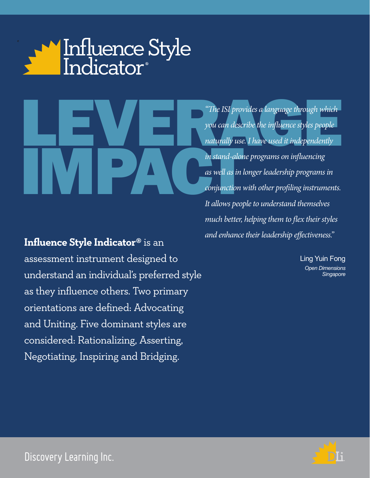

The ISI provides a language through which<br>you can describe the influence styles people<br>naturally use. I have used it independently<br>in stand-alone programs on influencing naturally use<br>in stand-alor<br>as well as in *"The ISI provides a language through which you can describe the influence styles people naturally use. I have used it independently in stand-alone programs on influencing as well as in longer leadership programs in conjunction with other profiling instruments. It allows people to understand themselves much better, helping them to flex their styles and enhance their leadership effectiveness."*

**Influence Style Indicator®** is an assessment instrument designed to understand an individual's preferred style as they influence others. Two primary orientations are defined: Advocating and Uniting. Five dominant styles are considered: Rationalizing, Asserting, Negotiating, Inspiring and Bridging.

Ling Yuin Fong *Open Dimensions Singapore*



Discovery Learning Inc.